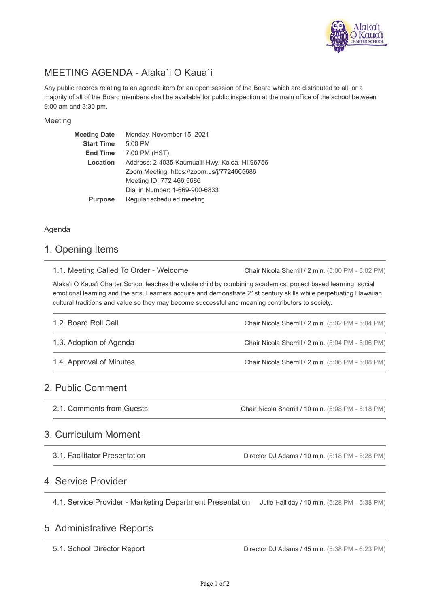

# MEETING AGENDA - Alaka`i O Kaua`i

Any public records relating to an agenda item for an open session of the Board which are distributed to all, or a majority of all of the Board members shall be available for public inspection at the main office of the school between 9:00 am and 3:30 pm.

### Meeting

| <b>Meeting Date</b> | Monday, November 15, 2021                      |
|---------------------|------------------------------------------------|
| <b>Start Time</b>   | 5:00 PM                                        |
| <b>End Time</b>     | 7:00 PM (HST)                                  |
| Location            | Address: 2-4035 Kaumualii Hwy, Koloa, HI 96756 |
|                     | Zoom Meeting: https://zoom.us/j/7724665686     |
|                     | Meeting ID: 772 466 5686                       |
|                     | Dial in Number: 1-669-900-6833                 |
| <b>Purpose</b>      | Regular scheduled meeting                      |

### Agenda

### 1. Opening Items

1.1. Meeting Called To Order - Welcome

Chair Nicola Sherrill / 2 min. (5:00 PM - 5:02 PM)

Alaka'i O Kaua'i Charter School teaches the whole child by combining academics, project based learning, social emotional learning and the arts. Learners acquire and demonstrate 21st century skills while perpetuating Hawaiian cultural traditions and value so they may become successful and meaning contributors to society.

| 1.2. Board Roll Call     | Chair Nicola Sherrill / 2 min. (5:02 PM - 5:04 PM) |
|--------------------------|----------------------------------------------------|
| 1.3. Adoption of Agenda  | Chair Nicola Sherrill / 2 min. (5:04 PM - 5:06 PM) |
| 1.4. Approval of Minutes | Chair Nicola Sherrill / 2 min. (5:06 PM - 5:08 PM) |

## 2. Public Comment

Chair Nicola Sherrill / 10 min. (5:08 PM - 5:18 PM) 2.1. Comments from Guests

### 3. Curriculum Moment

3.1. Facilitator Presentation

Director DJ Adams / 10 min. (5:18 PM - 5:28 PM)

## 4. Service Provider

Julie Halliday / 10 min. (5:28 PM - 5:38 PM) 4.1. Service Provider - Marketing Department Presentation

## 5. Administrative Reports

5.1. School Director Report

Director DJ Adams / 45 min. (5:38 PM - 6:23 PM)